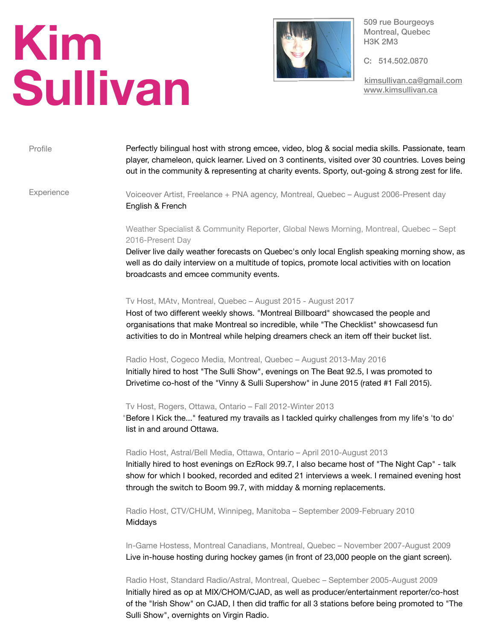# **Kim Sullivan**



509 rue Bourgeoys Montreal, Quebec H3K 2M3

C: 514.502.0870

[kimsullivan.ca@gmail.com](mailto:kimsullivan.ca@gmail.com) [www.kimsullivan.ca](http://www.kimsullivan.ca)

# Profile Perfectly bilingual host with strong emcee, video, blog & social media skills. Passionate, team player, chameleon, quick learner. Lived on 3 continents, visited over 30 countries. Loves being out in the community & representing at charity events. Sporty, out-going & strong zest for life.

**Experience** 

Voiceover Artist, Freelance + PNA agency, Montreal, Quebec – August 2006-Present day English & French

# Weather Specialist & Community Reporter, Global News Morning, Montreal, Quebec – Sept 2016-Present Day

Deliver live daily weather forecasts on Quebec's only local English speaking morning show, as well as do daily interview on a multitude of topics, promote local activities with on location broadcasts and emcee community events.

## Tv Host, MAtv, Montreal, Quebec – August 2015 - August 2017

Host of two different weekly shows. "Montreal Billboard" showcased the people and organisations that make Montreal so incredible, while "The Checklist" showcasesd fun activities to do in Montreal while helping dreamers check an item off their bucket list.

#### Radio Host, Cogeco Media, Montreal, Quebec – August 2013-May 2016

Initially hired to host "The Sulli Show", evenings on The Beat 92.5, I was promoted to Drivetime co-host of the "Vinny & Sulli Supershow" in June 2015 (rated #1 Fall 2015).

## Tv Host, Rogers, Ottawa, Ontario – Fall 2012-Winter 2013

"Before I Kick the..." featured my travails as I tackled quirky challenges from my life's 'to do' list in and around Ottawa.

#### Radio Host, Astral/Bell Media, Ottawa, Ontario – April 2010-August 2013

Initially hired to host evenings on EzRock 99.7, I also became host of "The Night Cap" - talk show for which I booked, recorded and edited 21 interviews a week. I remained evening host through the switch to Boom 99.7, with midday & morning replacements.

Radio Host, CTV/CHUM, Winnipeg, Manitoba – September 2009-February 2010 Middays

In-Game Hostess, Montreal Canadians, Montreal, Quebec – November 2007-August 2009 Live in-house hosting during hockey games (in front of 23,000 people on the giant screen).

Radio Host, Standard Radio/Astral, Montreal, Quebec – September 2005-August 2009 Initially hired as op at MIX/CHOM/CJAD, as well as producer/entertainment reporter/co-host of the "Irish Show" on CJAD, I then did traffic for all 3 stations before being promoted to "The Sulli Show", overnights on Virgin Radio.